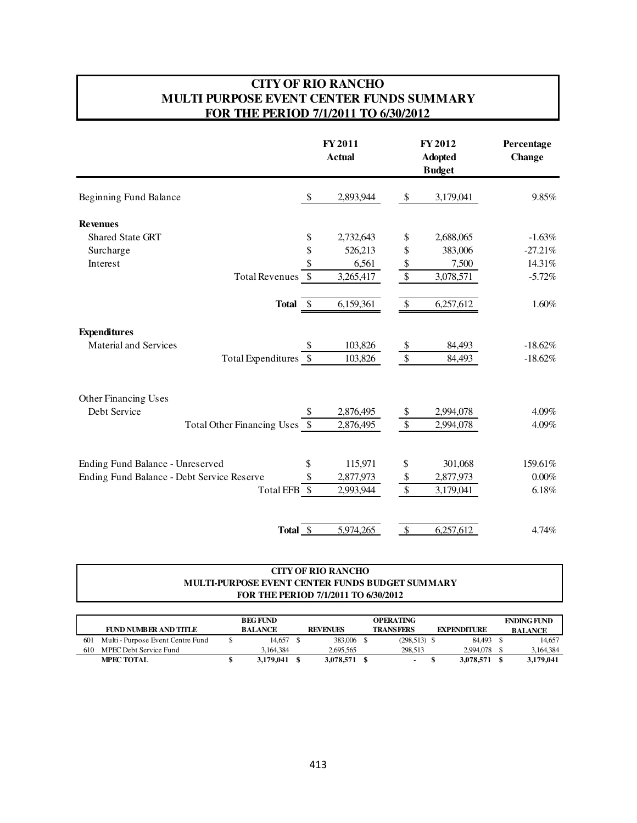#### **CITY OF RIO RANCHO MULTI PURPOSE EVENT CENTER FUNDS SUMMARY FOR THE PERIOD 7/1/2011 TO 6/30/2012**

|                                            |                      | FY 2011<br><b>Actual</b> |                           | FY 2012<br><b>Adopted</b><br><b>Budget</b> | Percentage<br><b>Change</b> |
|--------------------------------------------|----------------------|--------------------------|---------------------------|--------------------------------------------|-----------------------------|
| Beginning Fund Balance                     |                      | 2,893,944                | \$                        | 3,179,041                                  | 9.85%                       |
| <b>Revenues</b>                            |                      |                          |                           |                                            |                             |
| <b>Shared State GRT</b>                    | \$                   | 2,732,643                | \$                        | 2,688,065                                  | $-1.63%$                    |
| Surcharge                                  | \$                   | 526,213                  | \$                        | 383,006                                    | $-27.21%$                   |
| Interest                                   | \$                   | 6,561                    | \$                        | 7,500                                      | 14.31%                      |
| Total Revenues \$                          |                      | 3,265,417                | $\mathcal{S}$             | 3,078,571                                  | $-5.72%$                    |
|                                            | Total \$             | 6,159,361                | $\boldsymbol{\mathsf{S}}$ | 6,257,612                                  | 1.60%                       |
| <b>Expenditures</b>                        |                      |                          |                           |                                            |                             |
| <b>Material and Services</b>               | \$                   | 103,826                  | \$                        | 84,493                                     | $-18.62%$                   |
| Total Expenditures \$                      |                      | 103,826                  | $\mathcal{S}$             | 84,493                                     | $-18.62%$                   |
| <b>Other Financing Uses</b>                |                      |                          |                           |                                            |                             |
| Debt Service                               | \$                   | 2,876,495                | \$                        | 2,994,078                                  | 4.09%                       |
| Total Other Financing Uses \$              |                      | 2,876,495                | $\mathcal{S}$             | 2,994,078                                  | 4.09%                       |
| Ending Fund Balance - Unreserved           | \$                   | 115,971                  | \$                        | 301,068                                    | 159.61%                     |
| Ending Fund Balance - Debt Service Reserve | \$                   | 2,877,973                | \$                        | 2,877,973                                  | $0.00\%$                    |
|                                            | Total EFB \$         |                          | \$                        |                                            | 6.18%                       |
|                                            |                      | 2,993,944                |                           | 3,179,041                                  |                             |
|                                            | Total <sub>_\$</sub> | 5,974,265                | $\mathcal{S}$             | 6,257,612                                  | 4.74%                       |

#### **MULTI-PURPOSE EVENT CENTER FUNDS BUDGET SUMMARY FOR THE PERIOD 7/1/2011 TO 6/30/2012 CITY OF RIO RANCHO**

|     |                                   | <b>BEG FUND</b> |                 | <b>OPERATING</b> |                    | <b>ENDING FUND</b> |
|-----|-----------------------------------|-----------------|-----------------|------------------|--------------------|--------------------|
|     | FUND NUMBER AND TITLE             | <b>BALANCE</b>  | <b>REVENUES</b> | <b>TRANSFERS</b> | <b>EXPENDITURE</b> | <b>BALANCE</b>     |
| 601 | Multi - Purpose Event Centre Fund | 14.657          | 383,006         | $(298,513)$ \$   | 84.493             | 14.657             |
| 610 | MPEC Debt Service Fund            | 3.164.384       | 2.695.565       | 298.513          | 2.994.078          | 3.164.384          |
|     | <b>MPEC TOTAL</b>                 | 3.179.041       | 3,078,571       |                  | 3,078,571          | 3,179,041          |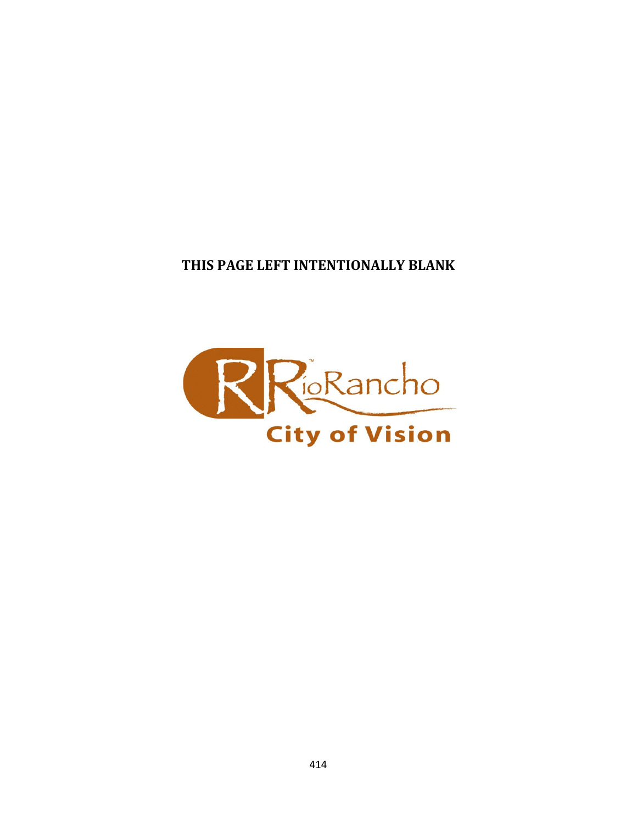THIS PAGE LEFT INTENTIONALLY BLANK

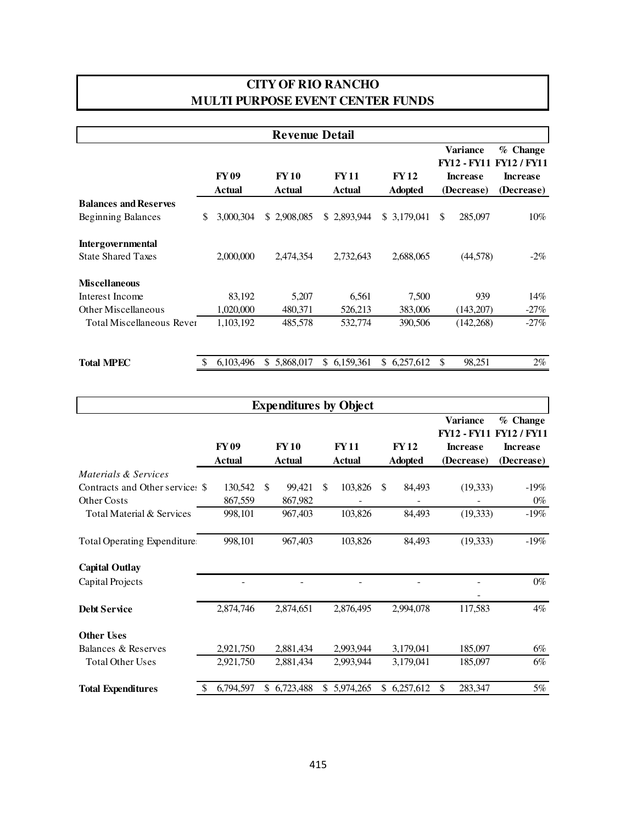# **MULTI PURPOSE EVENT CENTER FUNDS CITY OF RIO RANCHO**

|                                                       |                       | <b>Revenue Detail</b> |                       |                               |                                                                 |                                                                 |
|-------------------------------------------------------|-----------------------|-----------------------|-----------------------|-------------------------------|-----------------------------------------------------------------|-----------------------------------------------------------------|
|                                                       | <b>FY09</b><br>Actual | <b>FY10</b><br>Actual | <b>FY11</b><br>Actual | <b>FY12</b><br><b>Adopted</b> | Variance<br><b>FY12 - FY11</b><br><b>Increase</b><br>(Decrease) | $%$ Change<br><b>FY12/FY11</b><br><b>Increase</b><br>(Decrease) |
| <b>Balances and Reserves</b>                          |                       |                       |                       |                               |                                                                 |                                                                 |
| Beginning Balances                                    | \$<br>3,000,304       | \$2,908,085           | \$2,893,944           | \$3,179,041                   | 285,097<br><sup>\$</sup>                                        | $10\%$                                                          |
| <b>Intergovernmental</b><br><b>State Shared Taxes</b> | 2,000,000             | 2.474.354             | 2,732,643             | 2,688,065                     | (44,578)                                                        | $-2\%$                                                          |
| <b>Miscellaneous</b>                                  |                       |                       |                       |                               |                                                                 |                                                                 |
| Interest Income                                       | 83,192                | 5,207                 | 6,561                 | 7,500                         | 939                                                             | 14%                                                             |
| <b>Other Miscellaneous</b>                            | 1,020,000             | 480,371               | 526,213               | 383,006                       | (143,207)                                                       | $-27%$                                                          |
| <b>Total Miscellaneous Rever</b>                      | 1,103,192             | 485,578               | 532,774               | 390,506                       | (142, 268)                                                      | $-27%$                                                          |

**Total MPEC** \$ 6,103,496 \$ 5,868,017 \$ 6,159,361 \$ 6,257,612 \$ 98,251 2%

|                                    |                              |                       |               |           |     | <b>Expenditures by Object</b> |     |                               |                                                                        |                                                                 |  |
|------------------------------------|------------------------------|-----------------------|---------------|-----------|-----|-------------------------------|-----|-------------------------------|------------------------------------------------------------------------|-----------------------------------------------------------------|--|
|                                    | <b>FY09</b><br><b>Actual</b> | <b>FY10</b><br>Actual |               |           |     | <b>FY11</b><br><b>Actual</b>  |     | <b>FY12</b><br><b>Adopted</b> | <b>Variance</b><br><b>FY12 - FY11</b><br><b>Increase</b><br>(Decrease) | $%$ Change<br><b>FY12/FY11</b><br><b>Increase</b><br>(Decrease) |  |
| Materials & Services               |                              |                       |               |           |     |                               |     |                               |                                                                        |                                                                 |  |
| Contracts and Other service: \$    | 130,542                      |                       | <sup>\$</sup> | 99,421    | \$. | 103,826                       | \$. | 84,493                        | (19, 333)                                                              | $-19%$                                                          |  |
| Other Costs                        | 867,559                      |                       |               | 867,982   |     |                               |     |                               |                                                                        | $0\%$                                                           |  |
| Total Material & Services          | 998,101                      |                       |               | 967,403   |     | 103,826                       |     | 84,493                        | (19, 333)                                                              | $-19\%$                                                         |  |
| <b>Total Operating Expenditure</b> | 998,101                      |                       |               | 967,403   |     | 103,826                       |     | 84,493                        | (19, 333)                                                              | $-19%$                                                          |  |
| <b>Capital Outlay</b>              |                              |                       |               |           |     |                               |     |                               |                                                                        |                                                                 |  |
| Capital Projects                   |                              |                       |               |           |     |                               |     |                               |                                                                        | $0\%$                                                           |  |
| <b>Debt Service</b>                | 2,874,746                    |                       |               | 2,874,651 |     | 2,876,495                     |     | 2,994,078                     | 117,583                                                                | $4\%$                                                           |  |
| <b>Other Uses</b>                  |                              |                       |               |           |     |                               |     |                               |                                                                        |                                                                 |  |
| Balances & Reserves                | 2,921,750                    |                       |               | 2,881,434 |     | 2,993,944                     |     | 3,179,041                     | 185,097                                                                | 6%                                                              |  |
| <b>Total Other Uses</b>            | 2,921,750                    |                       |               | 2,881,434 |     | 2,993,944                     |     | 3,179,041                     | 185,097                                                                | 6%                                                              |  |
| <b>Total Expenditures</b>          | 6,794,597                    |                       | \$            | 6,723,488 | \$. | 5,974,265                     | \$  | 6,257,612                     | \$<br>283,347                                                          | $5\%$                                                           |  |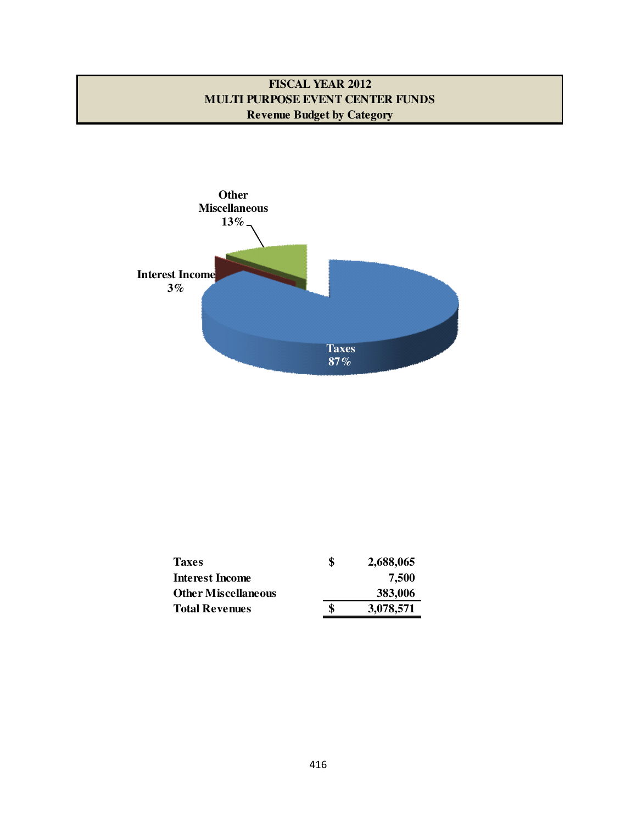# **FISCAL YEAR 2012 MULTI PURPOSE EVENT CENTER FUNDS Revenue Budget by Category**



| <b>Taxes</b>               | \$<br>2,688,065 |
|----------------------------|-----------------|
| <b>Interest Income</b>     | 7,500           |
| <b>Other Miscellaneous</b> | 383,006         |
| <b>Total Revenues</b>      | \$<br>3,078,571 |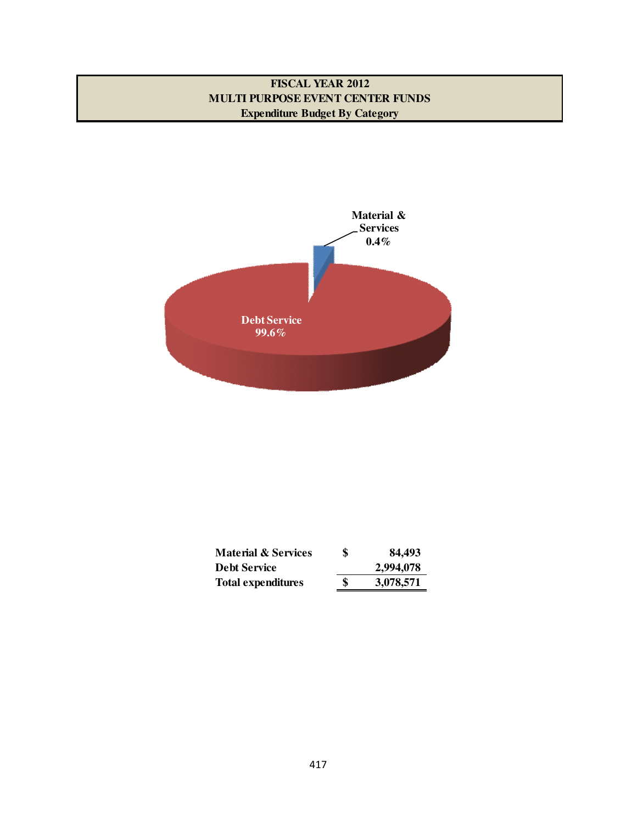### **FISCAL YEAR 2012 MULTI PURPOSE EVENT CENTER FUNDS Expenditure Budget By Category**



| <b>Material &amp; Services</b> | \$<br>84,493    |
|--------------------------------|-----------------|
| <b>Debt Service</b>            | 2,994,078       |
| <b>Total expenditures</b>      | \$<br>3,078,571 |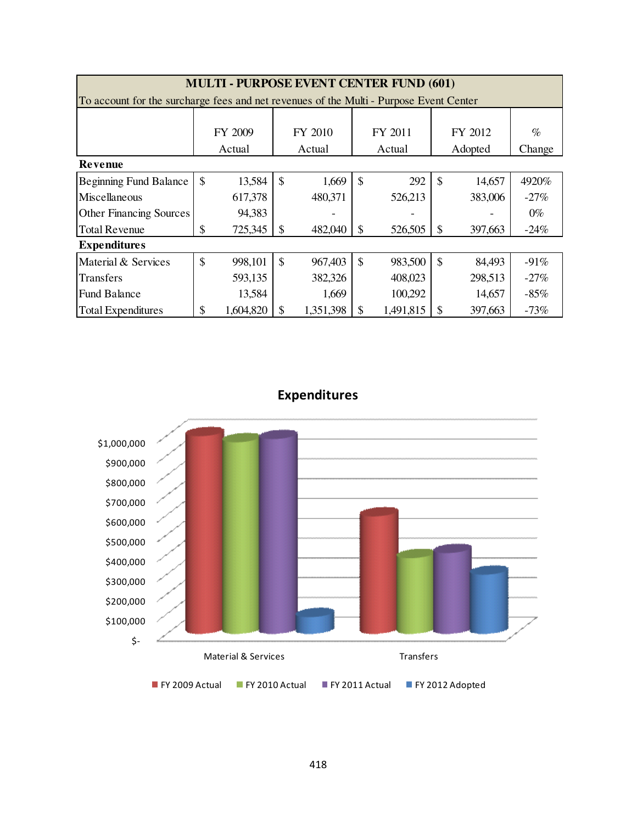| <b>MULTI - PURPOSE EVENT CENTER FUND (601)</b>                                         |               |           |               |           |               |           |               |         |        |  |  |  |
|----------------------------------------------------------------------------------------|---------------|-----------|---------------|-----------|---------------|-----------|---------------|---------|--------|--|--|--|
| To account for the surcharge fees and net revenues of the Multi - Purpose Event Center |               |           |               |           |               |           |               |         |        |  |  |  |
|                                                                                        |               |           |               |           |               |           |               |         |        |  |  |  |
|                                                                                        |               | FY 2009   |               | FY 2010   |               | FY 2011   |               | FY 2012 | $\%$   |  |  |  |
|                                                                                        |               | Actual    |               | Actual    |               | Actual    |               | Adopted | Change |  |  |  |
| Revenue                                                                                |               |           |               |           |               |           |               |         |        |  |  |  |
| <b>Beginning Fund Balance</b>                                                          | $\mathcal{S}$ | 13,584    | $\mathcal{S}$ | 1,669     | $\mathcal{S}$ | 292       | $\mathcal{S}$ | 14,657  | 4920%  |  |  |  |
| Miscellaneous                                                                          |               | 617,378   |               | 480,371   |               | 526,213   |               | 383,006 | $-27%$ |  |  |  |
| <b>Other Financing Sources</b>                                                         |               | 94,383    |               |           |               |           |               |         | $0\%$  |  |  |  |
| <b>Total Revenue</b>                                                                   | \$            | 725,345   | \$            | 482,040   | $\mathcal{S}$ | 526,505   | $\mathcal{S}$ | 397,663 | $-24%$ |  |  |  |
| <b>Expenditures</b>                                                                    |               |           |               |           |               |           |               |         |        |  |  |  |
| Material & Services                                                                    | \$            | 998,101   | $\mathcal{S}$ | 967,403   | $\mathcal{S}$ | 983,500   | $\mathcal{S}$ | 84,493  | $-91%$ |  |  |  |
| <b>Transfers</b>                                                                       |               | 593,135   |               | 382,326   |               | 408,023   |               | 298,513 | $-27%$ |  |  |  |
| <b>Fund Balance</b>                                                                    |               | 13,584    |               | 1,669     |               | 100,292   |               | 14,657  | $-85%$ |  |  |  |
| <b>Total Expenditures</b>                                                              | \$            | 1,604,820 |               | 1,351,398 | \$            | 1,491,815 | <sup>\$</sup> | 397,663 | $-73%$ |  |  |  |

Expenditures

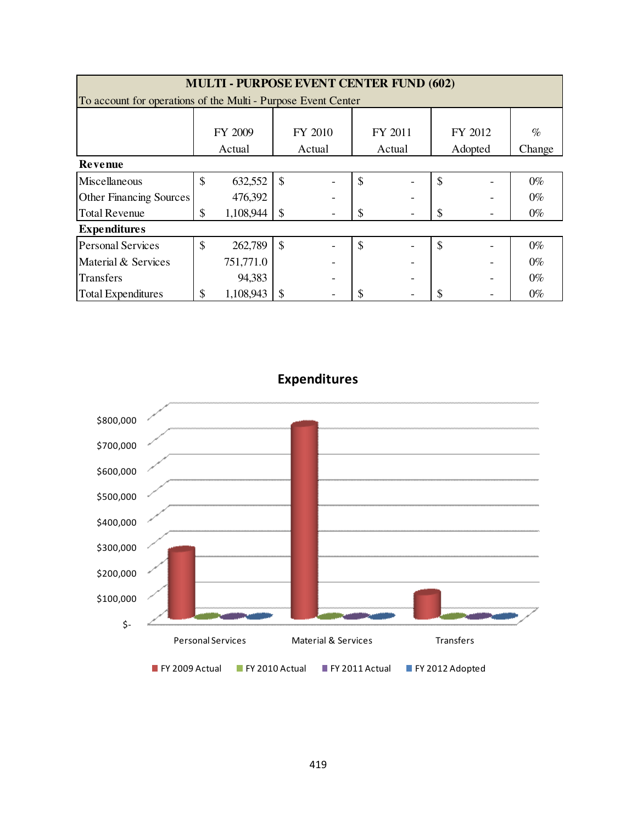| <b>MULTI - PURPOSE EVENT CENTER FUND (602)</b>                |    |           |               |         |               |         |               |         |        |  |  |  |
|---------------------------------------------------------------|----|-----------|---------------|---------|---------------|---------|---------------|---------|--------|--|--|--|
| To account for operations of the Multi - Purpose Event Center |    |           |               |         |               |         |               |         |        |  |  |  |
|                                                               |    |           |               |         |               |         |               |         |        |  |  |  |
|                                                               |    | FY 2009   |               | FY 2010 |               | FY 2011 |               | FY 2012 | $\%$   |  |  |  |
|                                                               |    | Actual    |               | Actual  | Actual        |         |               | Adopted | Change |  |  |  |
| <b>Revenue</b>                                                |    |           |               |         |               |         |               |         |        |  |  |  |
| Miscellaneous                                                 | \$ | 632,552   | \$            |         | \$            |         | $\mathcal{S}$ |         | $0\%$  |  |  |  |
| <b>Other Financing Sources</b>                                |    | 476,392   |               |         |               |         |               |         | $0\%$  |  |  |  |
| <b>Total Revenue</b>                                          | \$ | 1,108,944 |               |         | \$            |         | S             |         | $0\%$  |  |  |  |
| <b>Expenditures</b>                                           |    |           |               |         |               |         |               |         |        |  |  |  |
| <b>Personal Services</b>                                      | \$ | 262,789   | $\mathcal{S}$ |         | $\mathcal{S}$ |         | $\mathcal{S}$ |         | $0\%$  |  |  |  |
| Material & Services                                           |    | 751,771.0 |               |         |               |         |               |         | $0\%$  |  |  |  |
| <b>Transfers</b>                                              |    | 94,383    |               |         |               |         |               |         | $0\%$  |  |  |  |
| <b>Total Expenditures</b>                                     | \$ | 1,108,943 |               |         | S             |         |               |         | $0\%$  |  |  |  |



Expenditures